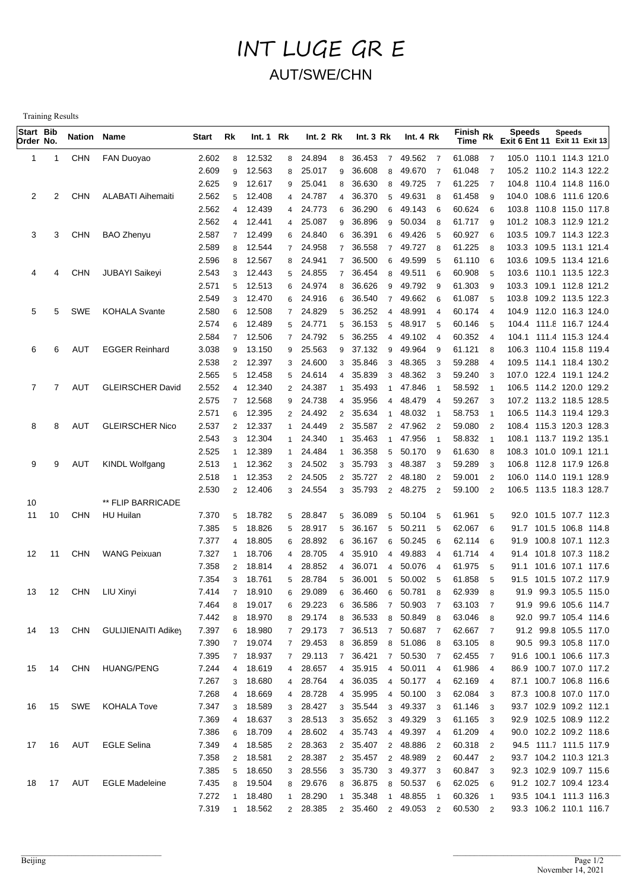## INT LUGE GR E AUT/SWE/CHN

Training Results

| Start Bib<br>Order No. |    | Nation Name |                            | Start          | Rk                  | Int. 1 Rk        |                | Int. 2 Rk        |                     | Int.3 Rk            |                | Int. $4 Rk$      |                     | Finish Rk<br><b>Time</b> |                     | <b>Speeds</b><br>Exit 6 Ent 11 Exit 11 Exit 13     | <b>Speeds</b>         |  |
|------------------------|----|-------------|----------------------------|----------------|---------------------|------------------|----------------|------------------|---------------------|---------------------|----------------|------------------|---------------------|--------------------------|---------------------|----------------------------------------------------|-----------------------|--|
| 1                      |    | <b>CHN</b>  | FAN Duoyao                 | 2.602          | 8                   | 12.532           | 8              | 24.894           | 8                   | 36.453              | $\overline{7}$ | 49.562 7         |                     | 61.088                   | $\overline{7}$      | 105.0 110.1 114.3 121.0                            |                       |  |
|                        |    |             |                            | 2.609          | 9                   | 12.563           | 8              | 25.017           | 9                   | 36.608              | 8              | 49.670           | $\overline{7}$      | 61.048                   | $\overline{7}$      | 105.2 110.2 114.3 122.2                            |                       |  |
|                        |    |             |                            | 2.625          | 9                   | 12.617           | 9              | 25.041           | 8                   | 36.630              | 8              | 49.725           | $\overline{7}$      | 61.225                   | $\overline{7}$      | 104.8 110.4 114.8 116.0                            |                       |  |
| 2                      | 2  | <b>CHN</b>  | <b>ALABATI Aihemaiti</b>   | 2.562          | 5                   | 12.408           | $\overline{4}$ | 24.787           | $\overline{4}$      | 36.370              | 5              | 49.631           | 8                   | 61.458                   | 9                   | 104.0 108.6 111.6 120.6                            |                       |  |
|                        |    |             |                            | 2.562          | $\overline{4}$      | 12.439           |                | 4 24.773         | 6                   | 36.290              | 6              | 49.143           | 6                   | 60.624                   | 6                   | 103.8 110.8 115.0 117.8                            |                       |  |
|                        |    |             |                            | 2.562          | $\overline{4}$      | 12.441           | $\overline{4}$ | 25.087           | 9                   | 36.896              | 9              | 50.034           | 8                   | 61.717                   | 9                   | 101.2 108.3 112.9 121.2                            |                       |  |
| 3                      | 3  | <b>CHN</b>  | <b>BAO Zhenyu</b>          | 2.587          | $\overline{7}$      | 12.499           | 6              | 24.840           | 6                   | 36.391              | 6              | 49.426           | 5                   | 60.927                   | 6                   | 103.5 109.7 114.3 122.3                            |                       |  |
|                        |    |             |                            | 2.589          | 8                   | 12.544           | $\overline{7}$ | 24.958           | $\overline{7}$      | 36.558              | $\overline{7}$ | 49.727           | 8                   | 61.225                   | 8                   | 103.3 109.5 113.1 121.4                            |                       |  |
|                        |    |             |                            | 2.596          | 8                   | 12.567           | 8              | 24.941           | $\overline{7}$      | 36.500              | 6              | 49.599           | 5                   | 61.110                   | 6                   | 103.6 109.5 113.4 121.6                            |                       |  |
| 4                      | 4  | <b>CHN</b>  | JUBAYI Saikeyi             | 2.543          | 3                   | 12.443           | 5              | 24.855           | $\overline{7}$      | 36.454              | 8              | 49.511           | 6                   | 60.908                   | 5                   | 103.6 110.1 113.5 122.3                            |                       |  |
|                        |    |             |                            | 2.571          | 5                   | 12.513           | 6              | 24.974           | 8                   | 36.626              | 9              | 49.792           | - 9                 | 61.303                   | 9                   | 103.3 109.1 112.8 121.2                            |                       |  |
|                        |    |             |                            | 2.549          | 3                   | 12.470           | 6              | 24.916           | 6                   | 36.540              | $\overline{7}$ | 49.662           | 6                   | 61.087                   | 5                   | 103.8 109.2 113.5 122.3                            |                       |  |
| 5                      | 5  | SWE         | <b>KOHALA Svante</b>       | 2.580          | 6                   | 12.508           |                | 7 24.829         | 5                   | 36.252              | $\overline{4}$ | 48.991           | $\overline{4}$      | 60.174                   | $\overline{4}$      | 104.9 112.0 116.3 124.0                            |                       |  |
|                        |    |             |                            | 2.574          | 6<br>$\overline{7}$ | 12.489<br>12.506 | 5              | 24.771<br>24.792 | 5<br>5              | 36.153<br>36.255    | 5              | 48.917<br>49.102 | 5                   | 60.146<br>60.352         | 5                   | 104.4 111.8 116.7 124.4                            |                       |  |
|                        | 6  | <b>AUT</b>  |                            | 2.584          | 9                   | 13.150           | $\overline{7}$ | 25.563           | 9                   | 37.132              | 4<br>9         | 49.964           | $\overline{4}$<br>9 | 61.121                   | $\overline{4}$<br>8 | 104.1 111.4 115.3 124.4                            |                       |  |
| 6                      |    |             | <b>EGGER Reinhard</b>      | 3.038          |                     | 12.397           | 9              | 24.600           |                     | 35.846              |                | 48.365           |                     | 59.288                   | $\overline{4}$      | 106.3 110.4 115.8 119.4<br>109.5 114.1 118.4 130.2 |                       |  |
|                        |    |             |                            | 2.538<br>2.565 | $\overline{2}$<br>5 | 12.458           | 3              | 24.614           | 3<br>$\overline{4}$ | 35.839              | 3<br>3         | 48.362           | -3<br>3             | 59.240                   | 3                   | 107.0 122.4 119.1 124.2                            |                       |  |
| 7                      | 7  | <b>AUT</b>  | <b>GLEIRSCHER David</b>    | 2.552          | $\overline{4}$      | 12.340           | 5              | 2 24.387         |                     | 35.493              | $\mathbf{1}$   | 47.846           | $\overline{1}$      | 58.592                   | $\overline{1}$      | 106.5 114.2 120.0 129.2                            |                       |  |
|                        |    |             |                            | 2.575          | $\overline{7}$      | 12.568           | 9              | 24.738           | $\Delta$            | 35.956              | $\overline{4}$ | 48.479           | $\overline{4}$      | 59.267                   | 3                   | 107.2 113.2 118.5 128.5                            |                       |  |
|                        |    |             |                            | 2.571          | 6                   | 12.395           |                | 2 24.492         | $\overline{2}$      | 35.634              | $\mathbf{1}$   | 48.032           | $\overline{1}$      | 58.753                   | $\overline{1}$      | 106.5 114.3 119.4 129.3                            |                       |  |
| 8                      | 8  | <b>AUT</b>  | <b>GLEIRSCHER Nico</b>     | 2.537          | $\overline{2}$      | 12.337           |                | 1 24.449         | $\overline{2}$      | 35.587              | $\overline{2}$ | 47.962           | $\overline{2}$      | 59.080                   | $\overline{2}$      | 108.4 115.3 120.3 128.3                            |                       |  |
|                        |    |             |                            | 2.543          | 3                   | 12.304           |                | 1 24.340         |                     | 35.463              | $\mathbf{1}$   | 47.956           | $\overline{1}$      | 58.832                   | $\overline{1}$      | 108.1 113.7 119.2 135.1                            |                       |  |
|                        |    |             |                            | 2.525          | $\mathbf{1}$        | 12.389           | 1              | 24.484           |                     | 36.358              | 5              | 50.170           | 9                   | 61.630                   | 8                   | 108.3 101.0 109.1 121.1                            |                       |  |
| 9                      | 9  | AUT         | <b>KINDL Wolfgang</b>      | 2.513          | $\mathbf{1}$        | 12.362           |                | 3 24.502         | 3                   | 35.793              | 3              | 48.387           | 3                   | 59.289                   | 3                   | 106.8 112.8 117.9 126.8                            |                       |  |
|                        |    |             |                            | 2.518          | $\mathbf{1}$        | 12.353           | $2^{\circ}$    | 24.505           | $\overline{2}$      | 35.727              | $\overline{2}$ | 48.180           | $\overline{2}$      | 59.001                   | $\overline{2}$      | 106.0 114.0 119.1 128.9                            |                       |  |
|                        |    |             |                            | 2.530          |                     | 2 12.406         |                | 3 24.554         | 3                   | 35.793              |                | 2 48.275         | $\overline{2}$      | 59.100                   | $\overline{2}$      | 106.5 113.5 118.3 128.7                            |                       |  |
| 10                     |    |             | ** FLIP BARRICADE          |                |                     |                  |                |                  |                     |                     |                |                  |                     |                          |                     |                                                    |                       |  |
| 11                     | 10 | <b>CHN</b>  | HU Huilan                  | 7.370          | 5                   | 18.782           | 5              | 28.847           | 5                   | 36.089              |                | 5 50.104         | -5                  | 61.961                   | 5                   | 92.0 101.5 107.7 112.3                             |                       |  |
|                        |    |             |                            | 7.385          | 5                   | 18.826           | 5              | 28.917           | 5                   | 36.167              | 5              | 50.211           | 5                   | 62.067                   | 6                   | 91.7 101.5 106.8 114.8                             |                       |  |
|                        |    |             |                            | 7.377          | $\overline{4}$      | 18.805           | 6              | 28.892           | 6                   | 36.167              | 6              | 50.245           | 6                   | 62.114                   | 6                   | 91.9                                               | 100.8 107.1 112.3     |  |
| 12                     | 11 | <b>CHN</b>  | <b>WANG Peixuan</b>        | 7.327          | $\mathbf{1}$        | 18.706           | $\overline{4}$ | 28.705           | 4                   | 35.910              | $\overline{4}$ | 49.883           | $\overline{4}$      | 61.714                   | $\overline{4}$      | 91.4 101.8 107.3 118.2                             |                       |  |
|                        |    |             |                            | 7.358          | $\overline{2}$      | 18.814           | $\overline{4}$ | 28.852           | 4                   | 36.071              | $\overline{4}$ | 50.076           | $\overline{4}$      | 61.975                   | 5                   | 91.1 101.6 107.1 117.6                             |                       |  |
|                        |    |             |                            | 7.354          | 3                   | 18.761           | 5              | 28.784           | 5                   | 36.001              | 5              | 50.002           | -5                  | 61.858                   | 5                   | 91.5 101.5 107.2 117.9                             |                       |  |
| 13                     | 12 | CHN         | LIU Xinyi                  | 7.414          |                     | 7 18.910         | 6              | 29.089           | 6                   | 36.460              |                | 6 50.781         | 8                   | 62.939                   | 8                   | 91.9 99.3 105.5 115.0                              |                       |  |
|                        |    |             |                            | 7.464          | 8                   | 19.017           | 6              | 29.223           | 6                   | 36.586              |                | 7 50.903         | $\overline{7}$      | 63.103                   | $\overline{7}$      | 91.9 99.6 105.6 114.7                              |                       |  |
|                        |    |             |                            | 7.442          | 8                   | 18.970           | 8              | 29.174           | 8                   | 36.533              |                | 8 50.849         | - 8                 | 63.046                   | -8                  |                                                    | 92.0 99.7 105.4 114.6 |  |
| 14                     | 13 | CHN         | <b>GULIJIENAITI Adikey</b> | 7.397          | 6                   | 18.980           |                | 7 29.173         | $7^{\circ}$         | 36.513              |                | 7 50.687 7       |                     | 62.667 7                 |                     | 91.2 99.8 105.5 117.0                              |                       |  |
|                        |    |             |                            | 7.390          |                     | 7 19.074         |                | 7 29.453         |                     | 8 36.859            |                | 8 51.086 8       |                     | 63.105 8                 |                     | 90.5 99.3 105.8 117.0                              |                       |  |
|                        |    |             |                            | 7.395          |                     | 7 18.937         | 7              | 29.113           |                     | 7 36.421 7 50.530 7 |                |                  |                     | 62.455 7                 |                     | 91.6 100.1 106.6 117.3                             |                       |  |
| 15                     | 14 | CHN         | <b>HUANG/PENG</b>          | 7.244          |                     | 4 18.619         | 4              | 28.657           | $\overline{4}$      | 35.915              |                | 4 50.011 4       |                     | 61.986 4                 |                     | 86.9 100.7 107.0 117.2                             |                       |  |
|                        |    |             |                            | 7.267          |                     | 3 18.680         | 4              | 28.764           | $\overline{4}$      | 36.035              |                | 4 50.177 4       |                     | 62.169                   | $\overline{4}$      | 87.1 100.7 106.8 116.6                             |                       |  |
|                        |    |             |                            | 7.268          | $\overline{4}$      | 18.669           | 4              | 28.728           | $\overline{4}$      | 35.995              |                | 4 50.100 3       |                     | 62.084                   | -3                  | 87.3 100.8 107.0 117.0                             |                       |  |
| 16                     | 15 | SWE         | <b>KOHALA Tove</b>         | 7.347          |                     | 3 18.589         | 3              | 28.427           |                     | 3 35.544            |                | 3 49.337 3       |                     | 61.146                   | - 3                 | 93.7 102.9 109.2 112.1                             |                       |  |
|                        |    |             |                            | 7.369          |                     | 4 18.637         | 3              | 28.513           |                     | 3 35.652            |                | 3 49.329 3       |                     | 61.165 3                 |                     | 92.9 102.5 108.9 112.2                             |                       |  |
|                        |    |             |                            | 7.386          |                     | 6 18.709         | $\overline{4}$ | 28.602           | $\overline{4}$      | 35.743              |                | 4 49.397 4       |                     | 61.209                   | $\overline{4}$      | 90.0 102.2 109.2 118.6                             |                       |  |
| 17                     | 16 | AUT         | <b>EGLE Selina</b>         | 7.349          |                     | 4 18.585         | $\mathbf{2}$   | 28.363           |                     | 2 35.407            |                | 2 48.886 2       |                     | 60.318                   | $\overline{2}$      | 94.5 111.7 111.5 117.9                             |                       |  |
|                        |    |             |                            | 7.358          |                     | 2 18.581         |                | 2 28.387         |                     | 2 35.457            |                | 2 48.989 2       |                     | 60.447                   | $\overline{2}$      | 93.7 104.2 110.3 121.3                             |                       |  |
|                        |    |             |                            | 7.385          |                     | 5 18.650         | 3              | 28.556           |                     | 3 35.730            |                | 3 49.377 3       |                     | 60.847                   | 3                   | 92.3 102.9 109.7 115.6                             |                       |  |
| 18                     | 17 | AUT         | <b>EGLE Madeleine</b>      | 7.435          |                     | 8 19.504         | 8              | 29.676           |                     | 8 36.875            |                | 8 50.537 6       |                     | 62.025                   | 6                   | 91.2 102.7 109.4 123.4                             |                       |  |
|                        |    |             |                            | 7.272          | $\mathbf{1}$        | 18.480           | 1              | 28.290           | $\blacksquare$      | 35.348              |                | 1 48.855 1       |                     | 60.326                   | $\overline{1}$      | 93.5 104.1 111.3 116.3                             |                       |  |
|                        |    |             |                            | 7.319          |                     | 1 18.562         |                | 2 28.385         |                     | 2 35.460            |                | 2 49.053 2       |                     | 60.530                   | $\overline{2}$      | 93.3 106.2 110.1 116.7                             |                       |  |
|                        |    |             |                            |                |                     |                  |                |                  |                     |                     |                |                  |                     |                          |                     |                                                    |                       |  |